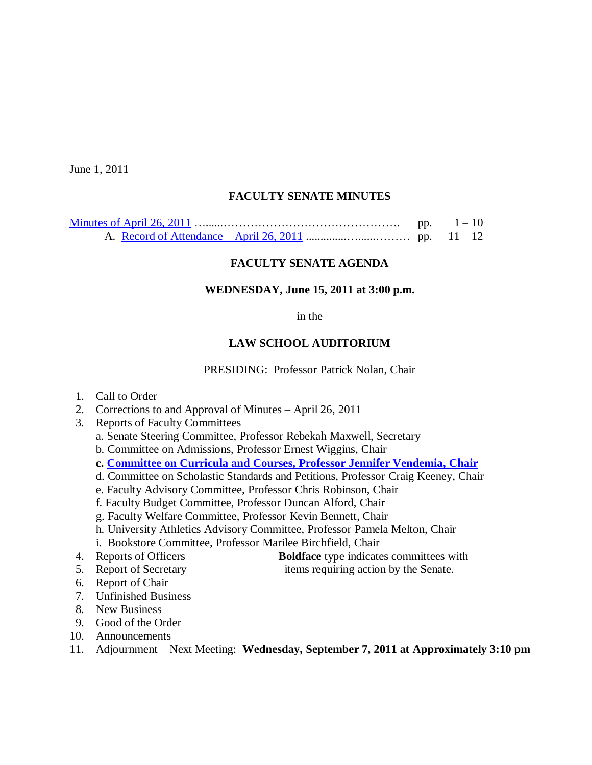June 1, 2011

### **FACULTY SENATE MINUTES**

| pp. | $1 - 10$ |
|-----|----------|
|     |          |

### **FACULTY SENATE AGENDA**

#### **WEDNESDAY, June 15, 2011 at 3:00 p.m.**

#### in the

#### **LAW SCHOOL AUDITORIUM**

PRESIDING: Professor Patrick Nolan, Chair

- 1. Call to Order
- 2. Corrections to and Approval of Minutes April 26, 2011
- 3. Reports of Faculty Committees
	- a. Senate Steering Committee, Professor Rebekah Maxwell, Secretary
	- b. Committee on Admissions, Professor Ernest Wiggins, Chair
	- **c. [Committee on Curricula and Courses, Professor](http://www.sc.edu/faculty/senate/11/agenda/0615.cc.pdf) Jennifer Vendemia, Chair**
	- d. Committee on Scholastic Standards and Petitions, Professor Craig Keeney, Chair
	- e. Faculty Advisory Committee, Professor Chris Robinson, Chair
	- f. Faculty Budget Committee, Professor Duncan Alford, Chair
	- g. Faculty Welfare Committee, Professor Kevin Bennett, Chair
	- h. University Athletics Advisory Committee, Professor Pamela Melton, Chair
	- i. Bookstore Committee, Professor Marilee Birchfield, Chair
- 4. Reports of Officers **Boldface** type indicates committees with
- 5. Report of Secretary items requiring action by the Senate.
- 6. Report of Chair
- 7. Unfinished Business
- 8. New Business
- 9. Good of the Order
- 10. Announcements
- 11. Adjournment Next Meeting: **Wednesday, September 7, 2011 at Approximately 3:10 pm**